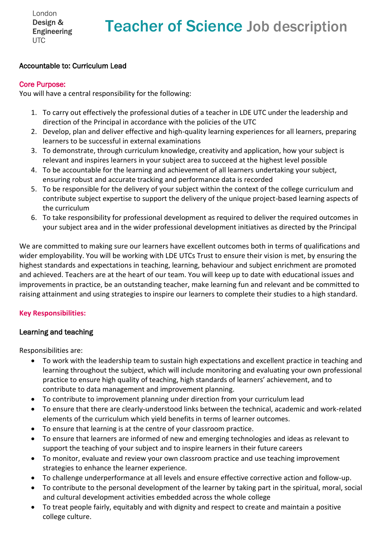London Design & **Engineering UTC** 

# Teacher of Science Job description

### Accountable to: Curriculum Lead

#### Core Purpose:

You will have a central responsibility for the following:

- 1. To carry out effectively the professional duties of a teacher in LDE UTC under the leadership and direction of the Principal in accordance with the policies of the UTC
- 2. Develop, plan and deliver effective and high-quality learning experiences for all learners, preparing learners to be successful in external examinations
- 3. To demonstrate, through curriculum knowledge, creativity and application, how your subject is relevant and inspires learners in your subject area to succeed at the highest level possible
- 4. To be accountable for the learning and achievement of all learners undertaking your subject, ensuring robust and accurate tracking and performance data is recorded
- 5. To be responsible for the delivery of your subject within the context of the college curriculum and contribute subject expertise to support the delivery of the unique project-based learning aspects of the curriculum
- 6. To take responsibility for professional development as required to deliver the required outcomes in your subject area and in the wider professional development initiatives as directed by the Principal

We are committed to making sure our learners have excellent outcomes both in terms of qualifications and wider employability. You will be working with LDE UTCs Trust to ensure their vision is met, by ensuring the highest standards and expectations in teaching, learning, behaviour and subject enrichment are promoted and achieved. Teachers are at the heart of our team. You will keep up to date with educational issues and improvements in practice, be an outstanding teacher, make learning fun and relevant and be committed to raising attainment and using strategies to inspire our learners to complete their studies to a high standard.

#### **Key Responsibilities:**

#### Learning and teaching

Responsibilities are:

- To work with the leadership team to sustain high expectations and excellent practice in teaching and learning throughout the subject, which will include monitoring and evaluating your own professional practice to ensure high quality of teaching, high standards of learners' achievement, and to contribute to data management and improvement planning.
- To contribute to improvement planning under direction from your curriculum lead
- To ensure that there are clearly-understood links between the technical, academic and work-related elements of the curriculum which yield benefits in terms of learner outcomes.
- To ensure that learning is at the centre of your classroom practice.
- To ensure that learners are informed of new and emerging technologies and ideas as relevant to support the teaching of your subject and to inspire learners in their future careers
- To monitor, evaluate and review your own classroom practice and use teaching improvement strategies to enhance the learner experience.
- To challenge underperformance at all levels and ensure effective corrective action and follow-up.
- To contribute to the personal development of the learner by taking part in the spiritual, moral, social and cultural development activities embedded across the whole college
- To treat people fairly, equitably and with dignity and respect to create and maintain a positive college culture.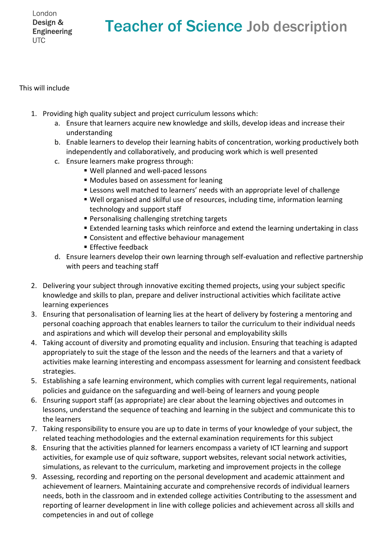London Design & **Engineering UTC** 

## Teacher of Science Job description

This will include

- 1. Providing high quality subject and project curriculum lessons which:
	- a. Ensure that learners acquire new knowledge and skills, develop ideas and increase their understanding
	- b. Enable learners to develop their learning habits of concentration, working productively both independently and collaboratively, and producing work which is well presented
	- c. Ensure learners make progress through:
		- Well planned and well-paced lessons
		- Modules based on assessment for leaning
		- **EXEL EXECTED LESS LESS UPS 10 ISSONS WE** Lessons well matched to learners and lengue
		- Well organised and skilful use of resources, including time, information learning technology and support staff
		- Personalising challenging stretching targets
		- Extended learning tasks which reinforce and extend the learning undertaking in class
		- Consistent and effective behaviour management
		- $\blacksquare$  Effective feedback
	- d. Ensure learners develop their own learning through self-evaluation and reflective partnership with peers and teaching staff
- 2. Delivering your subject through innovative exciting themed projects, using your subject specific knowledge and skills to plan, prepare and deliver instructional activities which facilitate active learning experiences
- 3. Ensuring that personalisation of learning lies at the heart of delivery by fostering a mentoring and personal coaching approach that enables learners to tailor the curriculum to their individual needs and aspirations and which will develop their personal and employability skills
- 4. Taking account of diversity and promoting equality and inclusion. Ensuring that teaching is adapted appropriately to suit the stage of the lesson and the needs of the learners and that a variety of activities make learning interesting and encompass assessment for learning and consistent feedback strategies.
- 5. Establishing a safe learning environment, which complies with current legal requirements, national policies and guidance on the safeguarding and well-being of learners and young people
- 6. Ensuring support staff (as appropriate) are clear about the learning objectives and outcomes in lessons, understand the sequence of teaching and learning in the subject and communicate this to the learners
- 7. Taking responsibility to ensure you are up to date in terms of your knowledge of your subject, the related teaching methodologies and the external examination requirements for this subject
- 8. Ensuring that the activities planned for learners encompass a variety of ICT learning and support activities, for example use of quiz software, support websites, relevant social network activities, simulations, as relevant to the curriculum, marketing and improvement projects in the college
- 9. Assessing, recording and reporting on the personal development and academic attainment and achievement of learners. Maintaining accurate and comprehensive records of individual learners needs, both in the classroom and in extended college activities Contributing to the assessment and reporting of learner development in line with college policies and achievement across all skills and competencies in and out of college